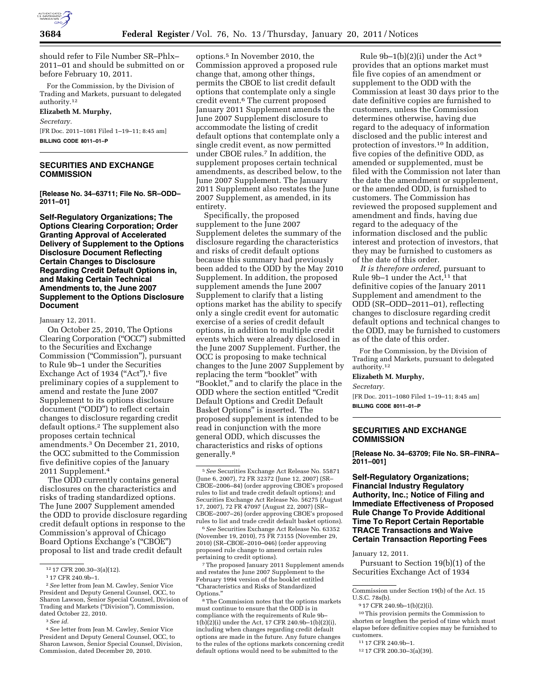

should refer to File Number SR–Phlx– 2011–01 and should be submitted on or before February 10, 2011.

For the Commission, by the Division of Trading and Markets, pursuant to delegated authority.12

**Elizabeth M. Murphy,**  *Secretary.*  [FR Doc. 2011–1081 Filed 1–19–11; 8:45 am] **BILLING CODE 8011–01–P** 

# **SECURITIES AND EXCHANGE COMMISSION**

**[Release No. 34–63711; File No. SR–ODD– 2011–01]** 

**Self-Regulatory Organizations; The Options Clearing Corporation; Order Granting Approval of Accelerated Delivery of Supplement to the Options Disclosure Document Reflecting Certain Changes to Disclosure Regarding Credit Default Options in, and Making Certain Technical Amendments to, the June 2007 Supplement to the Options Disclosure Document** 

January 12, 2011.

On October 25, 2010, The Options Clearing Corporation (''OCC'') submitted to the Securities and Exchange Commission (''Commission''), pursuant to Rule 9b–1 under the Securities Exchange Act of 1934 ("Act"),<sup>1</sup> five preliminary copies of a supplement to amend and restate the June 2007 Supplement to its options disclosure document (''ODD'') to reflect certain changes to disclosure regarding credit default options.2 The supplement also proposes certain technical amendments.3 On December 21, 2010, the OCC submitted to the Commission five definitive copies of the January 2011 Supplement.4

The ODD currently contains general disclosures on the characteristics and risks of trading standardized options. The June 2007 Supplement amended the ODD to provide disclosure regarding credit default options in response to the Commission's approval of Chicago Board Options Exchange's (''CBOE'') proposal to list and trade credit default

options.5 In November 2010, the Commission approved a proposed rule change that, among other things, permits the CBOE to list credit default options that contemplate only a single credit event.6 The current proposed January 2011 Supplement amends the June 2007 Supplement disclosure to accommodate the listing of credit default options that contemplate only a single credit event, as now permitted under CBOE rules.7 In addition, the supplement proposes certain technical amendments, as described below, to the June 2007 Supplement. The January 2011 Supplement also restates the June 2007 Supplement, as amended, in its entirety.

Specifically, the proposed supplement to the June 2007 Supplement deletes the summary of the disclosure regarding the characteristics and risks of credit default options because this summary had previously been added to the ODD by the May 2010 Supplement. In addition, the proposed supplement amends the June 2007 Supplement to clarify that a listing options market has the ability to specify only a single credit event for automatic exercise of a series of credit default options, in addition to multiple credit events which were already disclosed in the June 2007 Supplement. Further, the OCC is proposing to make technical changes to the June 2007 Supplement by replacing the term "booklet" with ''Booklet,'' and to clarify the place in the ODD where the section entitled ''Credit Default Options and Credit Default Basket Options'' is inserted. The proposed supplement is intended to be read in conjunction with the more general ODD, which discusses the characteristics and risks of options generally.8

6*See* Securities Exchange Act Release No. 63352 (November 19, 2010), 75 FR 73155 (November 29, 2010) (SR–CBOE–2010–046) (order approving proposed rule change to amend certain rules pertaining to credit options).

7The proposed January 2011 Supplement amends and restates the June 2007 Supplement to the February 1994 version of the booklet entitled ''Characteristics and Risks of Standardized Options.''

8The Commission notes that the options markets must continue to ensure that the ODD is in compliance with the requirements of Rule 9b– 1(b)(2)(i) under the Act, 17 CFR 240.9b–1(b)(2)(i), including when changes regarding credit default options are made in the future. Any future changes to the rules of the options markets concerning credit default options would need to be submitted to the

Rule  $9b-1(b)(2)(i)$  under the Act<sup>9</sup> provides that an options market must file five copies of an amendment or supplement to the ODD with the Commission at least 30 days prior to the date definitive copies are furnished to customers, unless the Commission determines otherwise, having due regard to the adequacy of information disclosed and the public interest and protection of investors.10 In addition, five copies of the definitive ODD, as amended or supplemented, must be filed with the Commission not later than the date the amendment or supplement, or the amended ODD, is furnished to customers. The Commission has reviewed the proposed supplement and amendment and finds, having due regard to the adequacy of the information disclosed and the public interest and protection of investors, that they may be furnished to customers as of the date of this order.

*It is therefore ordered,* pursuant to Rule  $9b-1$  under the Act,<sup>11</sup> that definitive copies of the January 2011 Supplement and amendment to the ODD (SR–ODD–2011–01), reflecting changes to disclosure regarding credit default options and technical changes to the ODD, may be furnished to customers as of the date of this order.

For the Commission, by the Division of Trading and Markets, pursuant to delegated authority.12

# **Elizabeth M. Murphy,**

*Secretary.* 

[FR Doc. 2011–1080 Filed 1–19–11; 8:45 am] **BILLING CODE 8011–01–P** 

#### **SECURITIES AND EXCHANGE COMMISSION**

**[Release No. 34–63709; File No. SR–FINRA– 2011–001]** 

**Self-Regulatory Organizations; Financial Industry Regulatory Authority, Inc.; Notice of Filing and Immediate Effectiveness of Proposed Rule Change To Provide Additional Time To Report Certain Reportable TRACE Transactions and Waive Certain Transaction Reporting Fees** 

January 12, 2011.

Pursuant to Section 19(b)(1) of the Securities Exchange Act of 1934

<sup>12</sup> 17 CFR 200.30–3(a)(12).

<sup>1</sup> 17 CFR 240.9b–1.

<sup>2</sup>*See* letter from Jean M. Cawley, Senior Vice President and Deputy General Counsel, OCC, to Sharon Lawson, Senior Special Counsel, Division of Trading and Markets (''Division''), Commission, dated October 22, 2010.

<sup>3</sup>*See id.* 

<sup>4</sup>*See* letter from Jean M. Cawley, Senior Vice President and Deputy General Counsel, OCC, to Sharon Lawson, Senior Special Counsel, Division, Commission, dated December 20, 2010.

<sup>5</sup>*See* Securities Exchange Act Release No. 55871 (June 6, 2007), 72 FR 32372 (June 12, 2007) (SR– CBOE–2006–84) (order approving CBOE's proposed rules to list and trade credit default options); and Securities Exchange Act Release No. 56275 (August 17, 2007), 72 FR 47097 (August 22, 2007) (SR– CBOE–2007–26) (order approving CBOE's proposed rules to list and trade credit default basket options).

Commission under Section 19(b) of the Act. 15 U.S.C. 78s(b).

<sup>9</sup> 17 CFR 240.9b–1(b)(2)(i).

<sup>10</sup>This provision permits the Commission to shorten or lengthen the period of time which must elapse before definitive copies may be furnished to customers.

<sup>11</sup> 17 CFR 240.9b–1.

<sup>12</sup> 17 CFR 200.30–3(a)(39).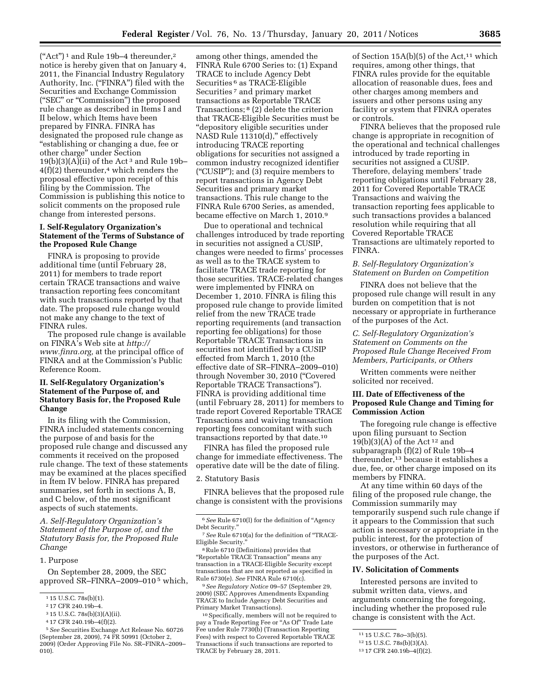("Act")<sup>1</sup> and Rule 19b-4 thereunder,<sup>2</sup> notice is hereby given that on January 4, 2011, the Financial Industry Regulatory Authority, Inc. ("FINRA") filed with the Securities and Exchange Commission (''SEC'' or ''Commission'') the proposed rule change as described in Items I and II below, which Items have been prepared by FINRA. FINRA has designated the proposed rule change as ''establishing or changing a due, fee or other charge'' under Section  $19(b)(3)(A)(ii)$  of the Act<sup>3</sup> and Rule 19b- $4(f)(2)$  thereunder,<sup>4</sup> which renders the proposal effective upon receipt of this filing by the Commission. The Commission is publishing this notice to solicit comments on the proposed rule change from interested persons.

#### **I. Self-Regulatory Organization's Statement of the Terms of Substance of the Proposed Rule Change**

FINRA is proposing to provide additional time (until February 28, 2011) for members to trade report certain TRACE transactions and waive transaction reporting fees concomitant with such transactions reported by that date. The proposed rule change would not make any change to the text of FINRA rules.

The proposed rule change is available on FINRA's Web site at *[http://](http://www.finra.org)  [www.finra.org,](http://www.finra.org)* at the principal office of FINRA and at the Commission's Public Reference Room.

### **II. Self-Regulatory Organization's Statement of the Purpose of, and Statutory Basis for, the Proposed Rule Change**

In its filing with the Commission, FINRA included statements concerning the purpose of and basis for the proposed rule change and discussed any comments it received on the proposed rule change. The text of these statements may be examined at the places specified in Item IV below. FINRA has prepared summaries, set forth in sections A, B, and C below, of the most significant aspects of such statements.

*A. Self-Regulatory Organization's Statement of the Purpose of, and the Statutory Basis for, the Proposed Rule Change* 

1. Purpose

On September 28, 2009, the SEC approved SR–FINRA–2009–010 5 which,

4 17 CFR 240.19b–4(f)(2).

among other things, amended the FINRA Rule 6700 Series to: (1) Expand TRACE to include Agency Debt Securities <sup>6</sup> as TRACE-Eligible Securities 7 and primary market transactions as Reportable TRACE Transactions; 8 (2) delete the criterion that TRACE-Eligible Securities must be ''depository eligible securities under NASD Rule 11310(d)," effectively introducing TRACE reporting obligations for securities not assigned a common industry recognized identifier (''CUSIP''); and (3) require members to report transactions in Agency Debt Securities and primary market transactions. This rule change to the FINRA Rule 6700 Series, as amended, became effective on March 1, 2010.9

Due to operational and technical challenges introduced by trade reporting in securities not assigned a CUSIP, changes were needed to firms' processes as well as to the TRACE system to facilitate TRACE trade reporting for those securities. TRACE-related changes were implemented by FINRA on December 1, 2010. FINRA is filing this proposed rule change to provide limited relief from the new TRACE trade reporting requirements (and transaction reporting fee obligations) for those Reportable TRACE Transactions in securities not identified by a CUSIP effected from March 1, 2010 (the effective date of SR–FINRA–2009–010) through November 30, 2010 (''Covered Reportable TRACE Transactions''). FINRA is providing additional time (until February 28, 2011) for members to trade report Covered Reportable TRACE Transactions and waiving transaction reporting fees concomitant with such transactions reported by that date.10

FINRA has filed the proposed rule change for immediate effectiveness. The operative date will be the date of filing.

#### 2. Statutory Basis

FINRA believes that the proposed rule change is consistent with the provisions

8Rule 6710 (Definitions) provides that ''Reportable TRACE Transaction'' means any transaction in a TRACE-Eligible Security except transactions that are not reported as specified in Rule 6730(e). *See* FINRA Rule 6710(c).

9*See Regulatory Notice* 09–57 (September 29, 2009) (SEC Approves Amendments Expanding TRACE to Include Agency Debt Securities and Primary Market Transactions).

10Specifically, members will not be required to pay a Trade Reporting Fee or ''As Of'' Trade Late Fee under Rule 7730(b) (Transaction Reporting Fees) with respect to Covered Reportable TRACE Transactions if such transactions are reported to TRACE by February 28, 2011.

of Section  $15A(b)(5)$  of the Act,<sup>11</sup> which requires, among other things, that FINRA rules provide for the equitable allocation of reasonable dues, fees and other charges among members and issuers and other persons using any facility or system that FINRA operates or controls.

FINRA believes that the proposed rule change is appropriate in recognition of the operational and technical challenges introduced by trade reporting in securities not assigned a CUSIP. Therefore, delaying members' trade reporting obligations until February 28, 2011 for Covered Reportable TRACE Transactions and waiving the transaction reporting fees applicable to such transactions provides a balanced resolution while requiring that all Covered Reportable TRACE Transactions are ultimately reported to FINRA.

### *B. Self-Regulatory Organization's Statement on Burden on Competition*

FINRA does not believe that the proposed rule change will result in any burden on competition that is not necessary or appropriate in furtherance of the purposes of the Act.

*C. Self-Regulatory Organization's Statement on Comments on the Proposed Rule Change Received From Members, Participants, or Others* 

Written comments were neither solicited nor received.

#### **III. Date of Effectiveness of the Proposed Rule Change and Timing for Commission Action**

The foregoing rule change is effective upon filing pursuant to Section 19(b)(3)(A) of the Act  $12$  and subparagraph (f)(2) of Rule 19b–4 thereunder,13 because it establishes a due, fee, or other charge imposed on its members by FINRA.

At any time within 60 days of the filing of the proposed rule change, the Commission summarily may temporarily suspend such rule change if it appears to the Commission that such action is necessary or appropriate in the public interest, for the protection of investors, or otherwise in furtherance of the purposes of the Act.

#### **IV. Solicitation of Comments**

Interested persons are invited to submit written data, views, and arguments concerning the foregoing, including whether the proposed rule change is consistent with the Act.

<sup>1</sup> 15 U.S.C. 78s(b)(1).

<sup>2</sup> 17 CFR 240.19b–4.

<sup>3</sup> 15 U.S.C. 78s(b)(3)(A)(ii).

<sup>5</sup>*See* Securities Exchange Act Release No. 60726 (September 28, 2009), 74 FR 50991 (October 2, 2009) (Order Approving File No. SR–FINRA–2009– 010).

<sup>6</sup>*See* Rule 6710(l) for the definition of ''Agency Debt Security.''

<sup>7</sup>*See* Rule 6710(a) for the definition of ''TRACE-Eligible Security.''

<sup>11</sup> 15 U.S.C. 78*o*–3(b)(5).

<sup>12</sup> 15 U.S.C. 78s(b)(3)(A).

<sup>13</sup> 17 CFR 240.19b–4(f)(2).